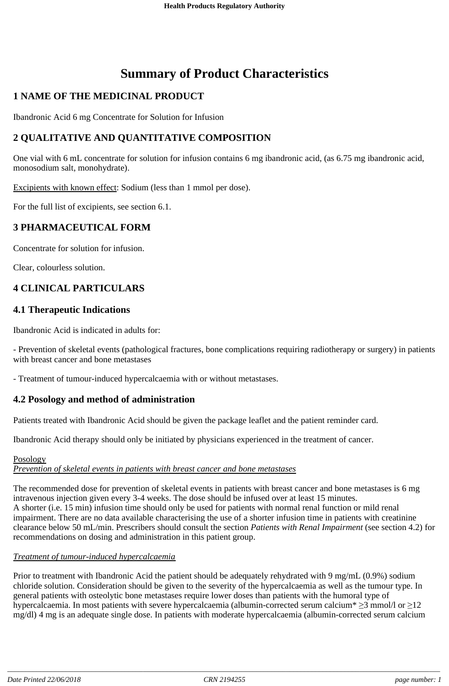# **Summary of Product Characteristics**

# **1 NAME OF THE MEDICINAL PRODUCT**

Ibandronic Acid 6 mg Concentrate for Solution for Infusion

# **2 QUALITATIVE AND QUANTITATIVE COMPOSITION**

One vial with 6 mL concentrate for solution for infusion contains 6 mg ibandronic acid, (as 6.75 mg ibandronic acid, monosodium salt, monohydrate).

Excipients with known effect: Sodium (less than 1 mmol per dose).

For the full list of excipients, see section 6.1.

# **3 PHARMACEUTICAL FORM**

Concentrate for solution for infusion.

Clear, colourless solution.

# **4 CLINICAL PARTICULARS**

### **4.1 Therapeutic Indications**

Ibandronic Acid is indicated in adults for:

- Prevention of skeletal events (pathological fractures, bone complications requiring radiotherapy or surgery) in patients with breast cancer and bone metastases

- Treatment of tumour-induced hypercalcaemia with or without metastases.

# **4.2 Posology and method of administration**

Patients treated with Ibandronic Acid should be given the package leaflet and the patient reminder card.

Ibandronic Acid therapy should only be initiated by physicians experienced in the treatment of cancer.

### Posology *Prevention of skeletal events in patients with breast cancer and bone metastases*

The recommended dose for prevention of skeletal events in patients with breast cancer and bone metastases is 6 mg intravenous injection given every 3-4 weeks. The dose should be infused over at least 15 minutes. A shorter (i.e. 15 min) infusion time should only be used for patients with normal renal function or mild renal impairment. There are no data available characterising the use of a shorter infusion time in patients with creatinine clearance below 50 mL/min. Prescribers should consult the section *Patients with Renal Impairment* (see section 4.2) for recommendations on dosing and administration in this patient group.

### *Treatment of tumour-induced hypercalcaemia*

Prior to treatment with Ibandronic Acid the patient should be adequately rehydrated with 9 mg/mL (0.9%) sodium chloride solution. Consideration should be given to the severity of the hypercalcaemia as well as the tumour type. In general patients with osteolytic bone metastases require lower doses than patients with the humoral type of hypercalcaemia. In most patients with severe hypercalcaemia (albumin-corrected serum calcium\*  $\geq$ 3 mmol/l or  $\geq$ 12 mg/dl) 4 mg is an adequate single dose. In patients with moderate hypercalcaemia (albumin-corrected serum calcium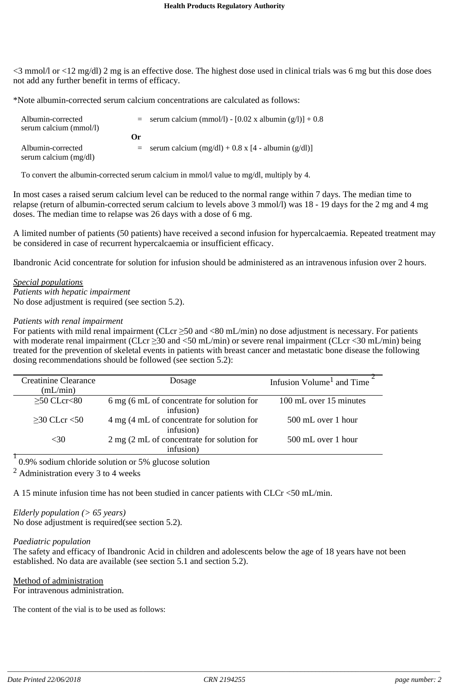<3 mmol/l or <12 mg/dl) 2 mg is an effective dose. The highest dose used in clinical trials was 6 mg but this dose does not add any further benefit in terms of efficacy.

\*Note albumin-corrected serum calcium concentrations are calculated as follows:

| Albumin-corrected<br>serum calcium (mmol/l) |         | $=$ serum calcium (mmol/l) - [0.02 x albumin (g/l)] + 0.8 |
|---------------------------------------------|---------|-----------------------------------------------------------|
|                                             | $O_{r}$ |                                                           |
| Albumin-corrected<br>serum calcium (mg/dl)  |         | $=$ serum calcium (mg/dl) + 0.8 x [4 - albumin (g/dl)]    |

To convert the albumin-corrected serum calcium in mmol/l value to mg/dl, multiply by 4.

In most cases a raised serum calcium level can be reduced to the normal range within 7 days. The median time to relapse (return of albumin-corrected serum calcium to levels above 3 mmol/l) was 18 - 19 days for the 2 mg and 4 mg doses. The median time to relapse was 26 days with a dose of 6 mg.

A limited number of patients (50 patients) have received a second infusion for hypercalcaemia. Repeated treatment may be considered in case of recurrent hypercalcaemia or insufficient efficacy.

Ibandronic Acid concentrate for solution for infusion should be administered as an intravenous infusion over 2 hours.

*Special populations Patients with hepatic impairment* No dose adjustment is required (see section 5.2).

#### *Patients with renal impairment*

For patients with mild renal impairment (CLcr  $\geq$  50 and <80 mL/min) no dose adjustment is necessary. For patients with moderate renal impairment (CLcr  $\geq$ 30 and <50 mL/min) or severe renal impairment (CLcr <30 mL/min) being treated for the prevention of skeletal events in patients with breast cancer and metastatic bone disease the following dosing recommendations should be followed (see section 5.2):

| <b>Creatinine Clearance</b><br>(mL/min) | Dosage                                                  | Infusion Volume <sup>1</sup> and Time |
|-----------------------------------------|---------------------------------------------------------|---------------------------------------|
| $>50$ CLcr $<80$                        | 6 mg (6 mL of concentrate for solution for<br>infusion) | 100 mL over 15 minutes                |
| $>30$ CLcr $<50$                        | 4 mg (4 mL of concentrate for solution for<br>infusion) | 500 mL over 1 hour                    |
| $<$ 30                                  | 2 mg (2 mL of concentrate for solution for<br>infusion) | 500 mL over 1 hour                    |

0.9% sodium chloride solution or 5% glucose solution 1

 $<sup>2</sup>$  Administration every 3 to 4 weeks</sup>

A 15 minute infusion time has not been studied in cancer patients with CLCr <50 mL/min.

*Elderly population (> 65 years)* No dose adjustment is required(see section 5.2).

#### *Paediatric population*

The safety and efficacy of Ibandronic Acid in children and adolescents below the age of 18 years have not been established. No data are available (see section 5.1 and section 5.2).

Method of administration For intravenous administration.

The content of the vial is to be used as follows: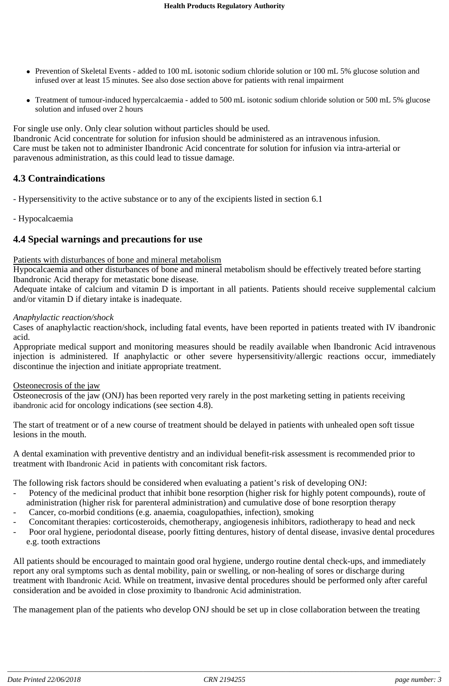- Prevention of Skeletal Events added to 100 mL isotonic sodium chloride solution or 100 mL 5% glucose solution and infused over at least 15 minutes. See also dose section above for patients with renal impairment
- Treatment of tumour-induced hypercalcaemia added to 500 mL isotonic sodium chloride solution or 500 mL 5% glucose solution and infused over 2 hours

For single use only. Only clear solution without particles should be used.

Ibandronic Acid concentrate for solution for infusion should be administered as an intravenous infusion. Care must be taken not to administer Ibandronic Acid concentrate for solution for infusion via intra-arterial or paravenous administration, as this could lead to tissue damage.

# **4.3 Contraindications**

- Hypersensitivity to the active substance or to any of the excipients listed in section 6.1
- Hypocalcaemia

# **4.4 Special warnings and precautions for use**

### Patients with disturbances of bone and mineral metabolism

Hypocalcaemia and other disturbances of bone and mineral metabolism should be effectively treated before starting Ibandronic Acid therapy for metastatic bone disease.

Adequate intake of calcium and vitamin D is important in all patients. Patients should receive supplemental calcium and/or vitamin D if dietary intake is inadequate.

#### *Anaphylactic reaction/shock*

Cases of anaphylactic reaction/shock, including fatal events, have been reported in patients treated with IV ibandronic acid.

Appropriate medical support and monitoring measures should be readily available when Ibandronic Acid intravenous injection is administered. If anaphylactic or other severe hypersensitivity/allergic reactions occur, immediately discontinue the injection and initiate appropriate treatment.

### Osteonecrosis of the jaw

Osteonecrosis of the jaw (ONJ) has been reported very rarely in the post marketing setting in patients receiving ibandronic acid for oncology indications (see section 4.8).

The start of treatment or of a new course of treatment should be delayed in patients with unhealed open soft tissue lesions in the mouth.

A dental examination with preventive dentistry and an individual benefit-risk assessment is recommended prior to treatment with Ibandronic Acid in patients with concomitant risk factors.

The following risk factors should be considered when evaluating a patient's risk of developing ONJ:

- Potency of the medicinal product that inhibit bone resorption (higher risk for highly potent compounds), route of administration (higher risk for parenteral administration) and cumulative dose of bone resorption therapy
- Cancer, co-morbid conditions (e.g. anaemia, coagulopathies, infection), smoking
- Concomitant therapies: corticosteroids, chemotherapy, angiogenesis inhibitors, radiotherapy to head and neck
- Poor oral hygiene, periodontal disease, poorly fitting dentures, history of dental disease, invasive dental procedures e.g. tooth extractions

All patients should be encouraged to maintain good oral hygiene, undergo routine dental check-ups, and immediately report any oral symptoms such as dental mobility, pain or swelling, or non-healing of sores or discharge during treatment with Ibandronic Acid. While on treatment, invasive dental procedures should be performed only after careful consideration and be avoided in close proximity to Ibandronic Acid administration.

The management plan of the patients who develop ONJ should be set up in close collaboration between the treating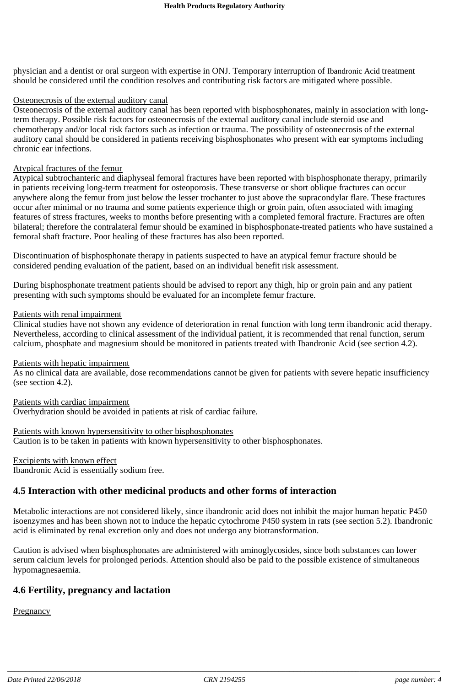physician and a dentist or oral surgeon with expertise in ONJ. Temporary interruption of Ibandronic Acid treatment should be considered until the condition resolves and contributing risk factors are mitigated where possible.

#### Osteonecrosis of the external auditory canal

Osteonecrosis of the external auditory canal has been reported with bisphosphonates, mainly in association with longterm therapy. Possible risk factors for osteonecrosis of the external auditory canal include steroid use and chemotherapy and/or local risk factors such as infection or trauma. The possibility of osteonecrosis of the external auditory canal should be considered in patients receiving bisphosphonates who present with ear symptoms including chronic ear infections*.*

#### Atypical fractures of the femur

Atypical subtrochanteric and diaphyseal femoral fractures have been reported with bisphosphonate therapy, primarily in patients receiving long-term treatment for osteoporosis. These transverse or short oblique fractures can occur anywhere along the femur from just below the lesser trochanter to just above the supracondylar flare. These fractures occur after minimal or no trauma and some patients experience thigh or groin pain, often associated with imaging features of stress fractures, weeks to months before presenting with a completed femoral fracture. Fractures are often bilateral; therefore the contralateral femur should be examined in bisphosphonate-treated patients who have sustained a femoral shaft fracture. Poor healing of these fractures has also been reported.

Discontinuation of bisphosphonate therapy in patients suspected to have an atypical femur fracture should be considered pending evaluation of the patient, based on an individual benefit risk assessment.

During bisphosphonate treatment patients should be advised to report any thigh, hip or groin pain and any patient presenting with such symptoms should be evaluated for an incomplete femur fracture.

#### Patients with renal impairment

Clinical studies have not shown any evidence of deterioration in renal function with long term ibandronic acid therapy. Nevertheless, according to clinical assessment of the individual patient, it is recommended that renal function, serum calcium, phosphate and magnesium should be monitored in patients treated with Ibandronic Acid (see section 4.2).

#### Patients with hepatic impairment

As no clinical data are available, dose recommendations cannot be given for patients with severe hepatic insufficiency (see section 4.2).

### Patients with cardiac impairment

Overhydration should be avoided in patients at risk of cardiac failure.

Patients with known hypersensitivity to other bisphosphonates Caution is to be taken in patients with known hypersensitivity to other bisphosphonates.

# Excipients with known effect

Ibandronic Acid is essentially sodium free.

### **4.5 Interaction with other medicinal products and other forms of interaction**

Metabolic interactions are not considered likely, since ibandronic acid does not inhibit the major human hepatic P450 isoenzymes and has been shown not to induce the hepatic cytochrome P450 system in rats (see section 5.2). Ibandronic acid is eliminated by renal excretion only and does not undergo any biotransformation.

Caution is advised when bisphosphonates are administered with aminoglycosides, since both substances can lower serum calcium levels for prolonged periods. Attention should also be paid to the possible existence of simultaneous hypomagnesaemia.

### **4.6 Fertility, pregnancy and lactation**

**Pregnancy**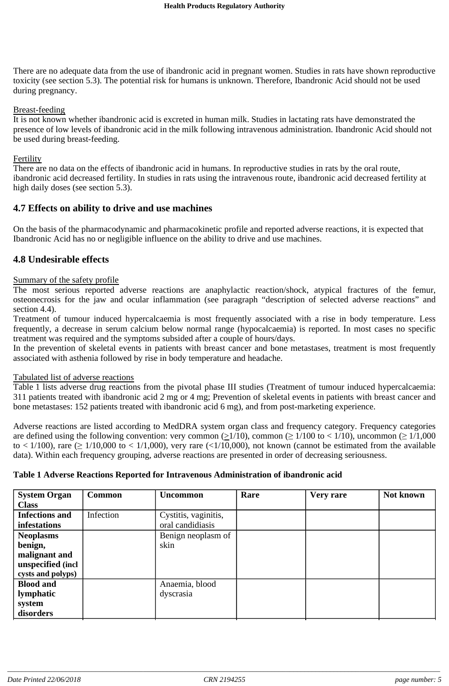There are no adequate data from the use of ibandronic acid in pregnant women. Studies in rats have shown reproductive toxicity (see section 5.3). The potential risk for humans is unknown. Therefore, Ibandronic Acid should not be used during pregnancy.

#### Breast-feeding

It is not known whether ibandronic acid is excreted in human milk. Studies in lactating rats have demonstrated the presence of low levels of ibandronic acid in the milk following intravenous administration. Ibandronic Acid should not be used during breast-feeding.

#### **Fertility**

There are no data on the effects of ibandronic acid in humans. In reproductive studies in rats by the oral route, ibandronic acid decreased fertility. In studies in rats using the intravenous route, ibandronic acid decreased fertility at high daily doses (see section 5.3).

### **4.7 Effects on ability to drive and use machines**

On the basis of the pharmacodynamic and pharmacokinetic profile and reported adverse reactions, it is expected that Ibandronic Acid has no or negligible influence on the ability to drive and use machines.

### **4.8 Undesirable effects**

#### Summary of the safety profile

The most serious reported adverse reactions are anaphylactic reaction/shock, atypical fractures of the femur, osteonecrosis for the jaw and ocular inflammation (see paragraph "description of selected adverse reactions" and section 4.4).

Treatment of tumour induced hypercalcaemia is most frequently associated with a rise in body temperature. Less frequently, a decrease in serum calcium below normal range (hypocalcaemia) is reported. In most cases no specific treatment was required and the symptoms subsided after a couple of hours/days.

In the prevention of skeletal events in patients with breast cancer and bone metastases, treatment is most frequently associated with asthenia followed by rise in body temperature and headache.

#### Tabulated list of adverse reactions

Table 1 lists adverse drug reactions from the pivotal phase III studies (Treatment of tumour induced hypercalcaemia: 311 patients treated with ibandronic acid 2 mg or 4 mg; Prevention of skeletal events in patients with breast cancer and bone metastases: 152 patients treated with ibandronic acid 6 mg), and from post-marketing experience.

Adverse reactions are listed according to MedDRA system organ class and frequency category. Frequency categories are defined using the following convention: very common ( $\geq 1/10$ ), common ( $\geq 1/100$  to < 1/10), uncommon ( $\geq 1/1,000$ to  $\lt$  1/100), rare ( $\geq$  1/10,000 to  $\lt$  1/1,000), very rare ( $\lt$ 1/10,000), not known (cannot be estimated from the available data). Within each frequency grouping, adverse reactions are presented in order of decreasing seriousness.

#### **Table 1 Adverse Reactions Reported for Intravenous Administration of ibandronic acid**

| <b>System Organ</b>   | <b>Common</b> | <b>Uncommon</b>      | Rare | Very rare | Not known |
|-----------------------|---------------|----------------------|------|-----------|-----------|
| <b>Class</b>          |               |                      |      |           |           |
| <b>Infections and</b> | Infection     | Cystitis, vaginitis, |      |           |           |
| infestations          |               | oral candidiasis     |      |           |           |
| <b>Neoplasms</b>      |               | Benign neoplasm of   |      |           |           |
| benign,               |               | skin                 |      |           |           |
| malignant and         |               |                      |      |           |           |
| unspecified (incl     |               |                      |      |           |           |
| cysts and polyps)     |               |                      |      |           |           |
| <b>Blood and</b>      |               | Anaemia, blood       |      |           |           |
| lymphatic             |               | dyscrasia            |      |           |           |
| system                |               |                      |      |           |           |
| disorders             |               |                      |      |           |           |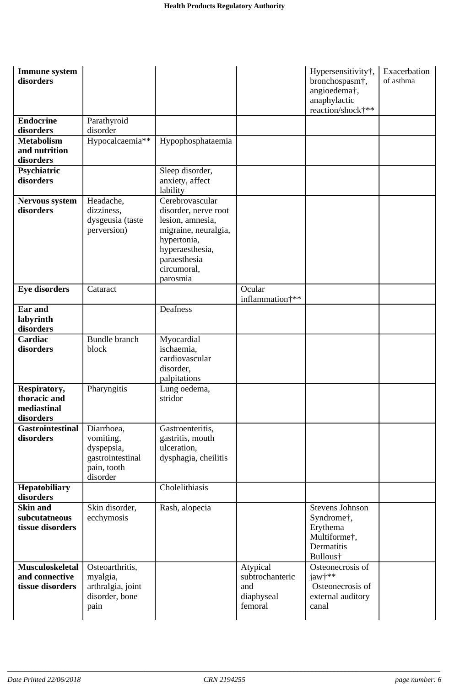| Immune system<br>disorders                               |                                                                                      |                                                                                                                                                                  |                                                             | Hypersensitivity†,<br>bronchospasm <sup>+</sup> ,<br>angioedema†,<br>anaphylactic<br>reaction/shock†** | Exacerbation<br>of asthma |
|----------------------------------------------------------|--------------------------------------------------------------------------------------|------------------------------------------------------------------------------------------------------------------------------------------------------------------|-------------------------------------------------------------|--------------------------------------------------------------------------------------------------------|---------------------------|
| <b>Endocrine</b>                                         | Parathyroid                                                                          |                                                                                                                                                                  |                                                             |                                                                                                        |                           |
| disorders                                                | disorder                                                                             |                                                                                                                                                                  |                                                             |                                                                                                        |                           |
| <b>Metabolism</b><br>and nutrition<br>disorders          | Hypocalcaemia**                                                                      | Hypophosphataemia                                                                                                                                                |                                                             |                                                                                                        |                           |
| Psychiatric<br>disorders                                 |                                                                                      | Sleep disorder,<br>anxiety, affect<br>lability                                                                                                                   |                                                             |                                                                                                        |                           |
| <b>Nervous system</b><br>disorders                       | Headache,<br>dizziness,<br>dysgeusia (taste<br>perversion)                           | Cerebrovascular<br>disorder, nerve root<br>lesion, amnesia,<br>migraine, neuralgia,<br>hypertonia,<br>hyperaesthesia,<br>paraesthesia<br>circumoral,<br>parosmia |                                                             |                                                                                                        |                           |
| <b>Eye disorders</b>                                     | Cataract                                                                             |                                                                                                                                                                  | Ocular<br>inflammation <sup>+**</sup>                       |                                                                                                        |                           |
| Ear and<br>labyrinth<br>disorders                        |                                                                                      | Deafness                                                                                                                                                         |                                                             |                                                                                                        |                           |
| Cardiac<br>disorders                                     | <b>Bundle</b> branch<br>block                                                        | Myocardial<br>ischaemia,<br>cardiovascular<br>disorder,<br>palpitations                                                                                          |                                                             |                                                                                                        |                           |
| Respiratory,<br>thoracic and<br>mediastinal<br>disorders | Pharyngitis                                                                          | Lung oedema,<br>stridor                                                                                                                                          |                                                             |                                                                                                        |                           |
| <b>Gastrointestinal</b><br>disorders                     | Diarrhoea,<br>vomiting,<br>dyspepsia,<br>gastrointestinal<br>pain, tooth<br>disorder | Gastroenteritis,<br>gastritis, mouth<br>ulceration,<br>dysphagia, cheilitis                                                                                      |                                                             |                                                                                                        |                           |
| Hepatobiliary<br>disorders                               |                                                                                      | Cholelithiasis                                                                                                                                                   |                                                             |                                                                                                        |                           |
| <b>Skin and</b><br>subcutatneous<br>tissue disorders     | Skin disorder,<br>ecchymosis                                                         | Rash, alopecia                                                                                                                                                   |                                                             | <b>Stevens Johnson</b><br>Syndrome†,<br>Erythema<br>Multiforme†,<br>Dermatitis<br>Bullous†             |                           |
| Musculoskeletal<br>and connective<br>tissue disorders    | Osteoarthritis,<br>myalgia,<br>arthralgia, joint<br>disorder, bone<br>pain           |                                                                                                                                                                  | Atypical<br>subtrochanteric<br>and<br>diaphyseal<br>femoral | Osteonecrosis of<br>jaw†**<br>Osteonecrosis of<br>external auditory<br>canal                           |                           |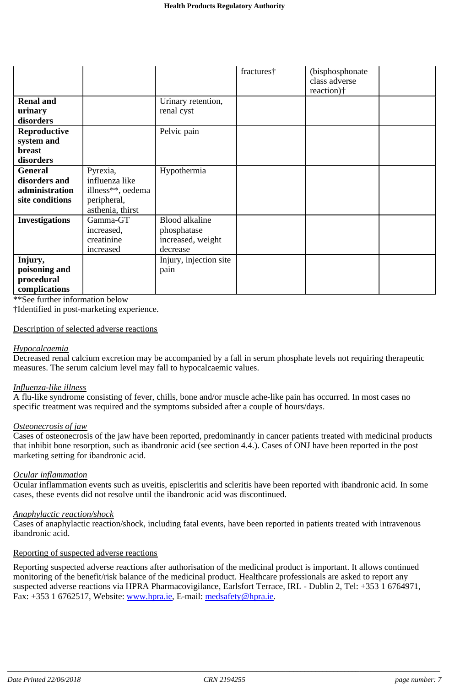|                       |                   |                        | fractures† | (bisphosphonate) |  |
|-----------------------|-------------------|------------------------|------------|------------------|--|
|                       |                   |                        |            | class adverse    |  |
|                       |                   |                        |            | reaction)†       |  |
| <b>Renal and</b>      |                   | Urinary retention,     |            |                  |  |
| urinary               |                   | renal cyst             |            |                  |  |
| disorders             |                   |                        |            |                  |  |
| Reproductive          |                   | Pelvic pain            |            |                  |  |
| system and            |                   |                        |            |                  |  |
| breast                |                   |                        |            |                  |  |
| disorders             |                   |                        |            |                  |  |
| <b>General</b>        | Pyrexia,          | Hypothermia            |            |                  |  |
| disorders and         | influenza like    |                        |            |                  |  |
| administration        | illness**, oedema |                        |            |                  |  |
| site conditions       | peripheral,       |                        |            |                  |  |
|                       | asthenia, thirst  |                        |            |                  |  |
| <b>Investigations</b> | Gamma-GT          | <b>Blood alkaline</b>  |            |                  |  |
|                       | increased,        | phosphatase            |            |                  |  |
|                       | creatinine        | increased, weight      |            |                  |  |
|                       | increased         | decrease               |            |                  |  |
| Injury,               |                   | Injury, injection site |            |                  |  |
| poisoning and         |                   | pain                   |            |                  |  |
| procedural            |                   |                        |            |                  |  |
| complications         |                   |                        |            |                  |  |

\*\*See further information below

†Identified in post-marketing experience.

#### Description of selected adverse reactions

#### *Hypocalcaemia*

Decreased renal calcium excretion may be accompanied by a fall in serum phosphate levels not requiring therapeutic measures. The serum calcium level may fall to hypocalcaemic values.

#### *Influenza-like illness*

A flu-like syndrome consisting of fever, chills, bone and/or muscle ache-like pain has occurred. In most cases no specific treatment was required and the symptoms subsided after a couple of hours/days.

#### *Osteonecrosis of jaw*

Cases of osteonecrosis of the jaw have been reported, predominantly in cancer patients treated with medicinal products that inhibit bone resorption, such as ibandronic acid (see section 4.4.). Cases of ONJ have been reported in the post marketing setting for ibandronic acid.

#### *Ocular inflammation*

Ocular inflammation events such as uveitis, episcleritis and scleritis have been reported with ibandronic acid. In some cases, these events did not resolve until the ibandronic acid was discontinued.

#### *Anaphylactic reaction/shock*

Cases of anaphylactic reaction/shock, including fatal events, have been reported in patients treated with intravenous ibandronic acid.

#### Reporting of suspected adverse reactions

Reporting suspected adverse reactions after authorisation of the medicinal product is important. It allows continued monitoring of the benefit/risk balance of the medicinal product. Healthcare professionals are asked to report any suspected adverse reactions via HPRA Pharmacovigilance, Earlsfort Terrace, IRL - Dublin 2, Tel: +353 1 6764971, Fax: +353 1 6762517, Website: www.hpra.ie, E-mail: medsafety@hpra.ie.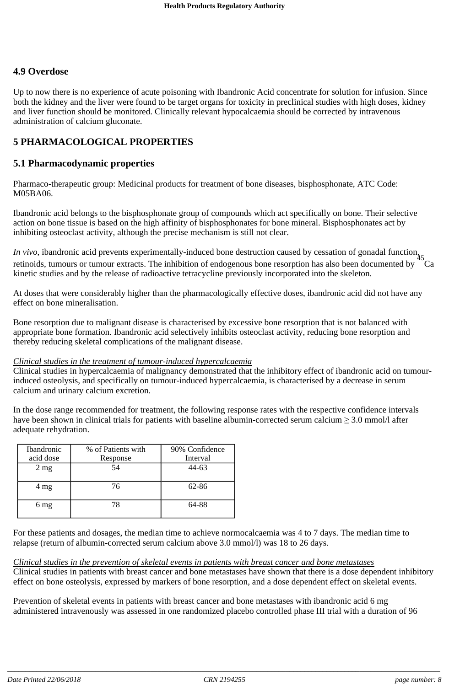# **4.9 Overdose**

Up to now there is no experience of acute poisoning with Ibandronic Acid concentrate for solution for infusion. Since both the kidney and the liver were found to be target organs for toxicity in preclinical studies with high doses, kidney and liver function should be monitored. Clinically relevant hypocalcaemia should be corrected by intravenous administration of calcium gluconate.

# **5 PHARMACOLOGICAL PROPERTIES**

## **5.1 Pharmacodynamic properties**

Pharmaco-therapeutic group: Medicinal products for treatment of bone diseases, bisphosphonate, ATC Code: M05BA06.

Ibandronic acid belongs to the bisphosphonate group of compounds which act specifically on bone. Their selective action on bone tissue is based on the high affinity of bisphosphonates for bone mineral. Bisphosphonates act by inhibiting osteoclast activity, although the precise mechanism is still not clear.

*In vivo*, ibandronic acid prevents experimentally-induced bone destruction caused by cessation of gonadal function, retinoids, tumours or tumour extracts. The inhibition of endogenous bone resorption has also been documented by <sup>45</sup>Ca kinetic studies and by the release of radioactive tetracycline previously incorporated into the skeleton.

At doses that were considerably higher than the pharmacologically effective doses, ibandronic acid did not have any effect on bone mineralisation.

Bone resorption due to malignant disease is characterised by excessive bone resorption that is not balanced with appropriate bone formation. Ibandronic acid selectively inhibits osteoclast activity, reducing bone resorption and thereby reducing skeletal complications of the malignant disease.

### *Clinical studies in the treatment of tumour-induced hypercalcaemia*

Clinical studies in hypercalcaemia of malignancy demonstrated that the inhibitory effect of ibandronic acid on tumourinduced osteolysis, and specifically on tumour-induced hypercalcaemia, is characterised by a decrease in serum calcium and urinary calcium excretion.

In the dose range recommended for treatment, the following response rates with the respective confidence intervals have been shown in clinical trials for patients with baseline albumin-corrected serum calcium  $\geq 3.0$  mmol/l after adequate rehydration.

| Ibandronic     | % of Patients with | 90% Confidence |
|----------------|--------------------|----------------|
| acid dose      | Response           | Interval       |
| $2 \text{ mg}$ | 54                 | 44-63          |
|                |                    |                |
| $4 \text{ mg}$ | 76                 | 62-86          |
|                |                    |                |
| 6 mg           | 78                 | 64-88          |
|                |                    |                |

For these patients and dosages, the median time to achieve normocalcaemia was 4 to 7 days. The median time to relapse (return of albumin-corrected serum calcium above 3.0 mmol/l) was 18 to 26 days.

### *Clinical studies in the prevention of skeletal events in patients with breast cancer and bone metastases*

Clinical studies in patients with breast cancer and bone metastases have shown that there is a dose dependent inhibitory effect on bone osteolysis, expressed by markers of bone resorption, and a dose dependent effect on skeletal events.

Prevention of skeletal events in patients with breast cancer and bone metastases with ibandronic acid 6 mg administered intravenously was assessed in one randomized placebo controlled phase III trial with a duration of 96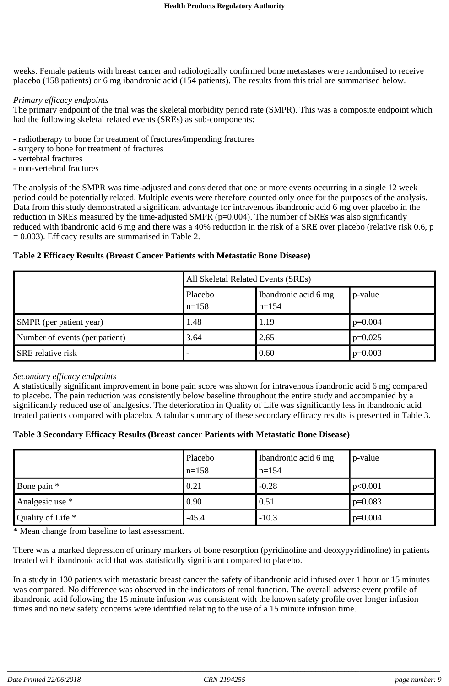weeks. Female patients with breast cancer and radiologically confirmed bone metastases were randomised to receive placebo (158 patients) or 6 mg ibandronic acid (154 patients). The results from this trial are summarised below.

#### *Primary efficacy endpoints*

The primary endpoint of the trial was the skeletal morbidity period rate (SMPR). This was a composite endpoint which had the following skeletal related events (SREs) as sub-components:

- radiotherapy to bone for treatment of fractures/impending fractures
- surgery to bone for treatment of fractures
- vertebral fractures
- non-vertebral fractures

The analysis of the SMPR was time-adjusted and considered that one or more events occurring in a single 12 week period could be potentially related. Multiple events were therefore counted only once for the purposes of the analysis. Data from this study demonstrated a significant advantage for intravenous ibandronic acid 6 mg over placebo in the reduction in SREs measured by the time-adjusted SMPR (p=0.004). The number of SREs was also significantly reduced with ibandronic acid 6 mg and there was a 40% reduction in the risk of a SRE over placebo (relative risk 0.6, p = 0.003). Efficacy results are summarised in Table 2.

### **Table 2 Efficacy Results (Breast Cancer Patients with Metastatic Bone Disease)**

|                                | All Skeletal Related Events (SREs) |                                 |           |  |
|--------------------------------|------------------------------------|---------------------------------|-----------|--|
|                                | Placebo<br>$n=158$                 | Ibandronic acid 6 mg<br>$n=154$ | p-value   |  |
| <b>SMPR</b> (per patient year) | 1.48                               | 1.19                            | $p=0.004$ |  |
| Number of events (per patient) | 3.64                               | 2.65                            | $p=0.025$ |  |
| <b>SRE</b> relative risk       |                                    | 0.60                            | $p=0.003$ |  |

#### *Secondary efficacy endpoints*

A statistically significant improvement in bone pain score was shown for intravenous ibandronic acid 6 mg compared to placebo. The pain reduction was consistently below baseline throughout the entire study and accompanied by a significantly reduced use of analgesics. The deterioration in Quality of Life was significantly less in ibandronic acid treated patients compared with placebo. A tabular summary of these secondary efficacy results is presented in Table 3.

### **Table 3 Secondary Efficacy Results (Breast cancer Patients with Metastatic Bone Disease)**

|                   | Placebo<br>$n=158$ | Ibandronic acid 6 mg<br>$n=154$ | p-value   |
|-------------------|--------------------|---------------------------------|-----------|
| Bone pain *       | 0.21               | $-0.28$                         | p<0.001   |
| Analgesic use *   | 0.90               | 0.51                            | $p=0.083$ |
| Quality of Life * | $-45.4$            | $-10.3$                         | $p=0.004$ |

\* Mean change from baseline to last assessment.

There was a marked depression of urinary markers of bone resorption (pyridinoline and deoxypyridinoline) in patients treated with ibandronic acid that was statistically significant compared to placebo.

In a study in 130 patients with metastatic breast cancer the safety of ibandronic acid infused over 1 hour or 15 minutes was compared. No difference was observed in the indicators of renal function. The overall adverse event profile of ibandronic acid following the 15 minute infusion was consistent with the known safety profile over longer infusion times and no new safety concerns were identified relating to the use of a 15 minute infusion time.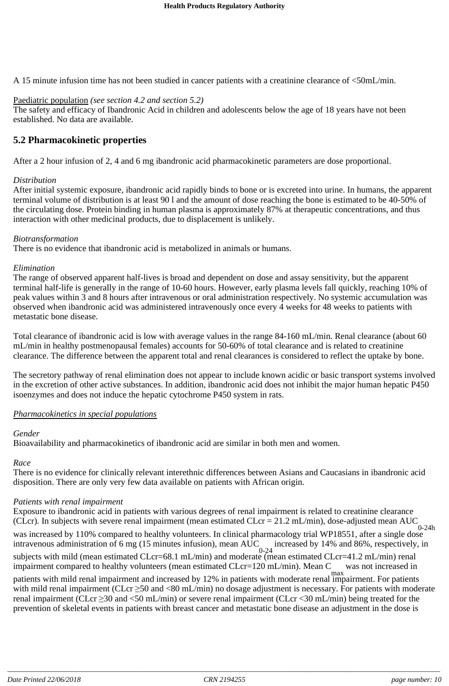A 15 minute infusion time has not been studied in cancer patients with a creatinine clearance of <50mL/min.

### Paediatric population *(see section 4.2 and section 5.2)*

The safety and efficacy of Ibandronic Acid in children and adolescents below the age of 18 years have not been established. No data are available.

# **5.2 Pharmacokinetic properties**

After a 2 hour infusion of 2, 4 and 6 mg ibandronic acid pharmacokinetic parameters are dose proportional.

#### *Distribution*

After initial systemic exposure, ibandronic acid rapidly binds to bone or is excreted into urine. In humans, the apparent terminal volume of distribution is at least 90 l and the amount of dose reaching the bone is estimated to be 40-50% of the circulating dose. Protein binding in human plasma is approximately 87% at therapeutic concentrations, and thus interaction with other medicinal products, due to displacement is unlikely.

#### *Biotransformation*

There is no evidence that ibandronic acid is metabolized in animals or humans.

#### *Elimination*

The range of observed apparent half-lives is broad and dependent on dose and assay sensitivity, but the apparent terminal half-life is generally in the range of 10-60 hours. However, early plasma levels fall quickly, reaching 10% of peak values within 3 and 8 hours after intravenous or oral administration respectively. No systemic accumulation was observed when ibandronic acid was administered intravenously once every 4 weeks for 48 weeks to patients with metastatic bone disease.

Total clearance of ibandronic acid is low with average values in the range 84-160 mL/min. Renal clearance (about 60 mL/min in healthy postmenopausal females) accounts for 50-60% of total clearance and is related to creatinine clearance. The difference between the apparent total and renal clearances is considered to reflect the uptake by bone.

The secretory pathway of renal elimination does not appear to include known acidic or basic transport systems involved in the excretion of other active substances. In addition, ibandronic acid does not inhibit the major human hepatic P450 isoenzymes and does not induce the hepatic cytochrome P450 system in rats.

### *Pharmacokinetics in special populations*

### *Gender*

Bioavailability and pharmacokinetics of ibandronic acid are similar in both men and women.

# *Race*

There is no evidence for clinically relevant interethnic differences between Asians and Caucasians in ibandronic acid disposition. There are only very few data available on patients with African origin.

# *Patients with renal impairment*

Exposure to ibandronic acid in patients with various degrees of renal impairment is related to creatinine clearance (CLcr). In subjects with severe renal impairment (mean estimated CLcr = 21.2 mL/min), dose-adjusted mean AUC was increased by 110% compared to healthy volunteers. In clinical pharmacology trial WP18551, after a single dose intravenous administration of 6 mg (15 minutes infusion), mean AUC increased by 14% and 86%, respectively, in subjects with mild (mean estimated CLcr=68.1 mL/min) and moderate (mean estimated CLcr=41.2 mL/min) renal impairment compared to healthy volunteers (mean estimated CLcr=120 mL/min). Mean C was not increased in patients with mild renal impairment and increased by 12% in patients with moderate renal impairment. For patients with mild renal impairment (CLcr  $\geq$ 50 and <80 mL/min) no dosage adjustment is necessary. For patients with moderate renal impairment (CLcr 30 and <50 mL/min) or severe renal impairment (CLcr <30 mL/min) being treated for the 0-24h 0-24

prevention of skeletal events in patients with breast cancer and metastatic bone disease an adjustment in the dose is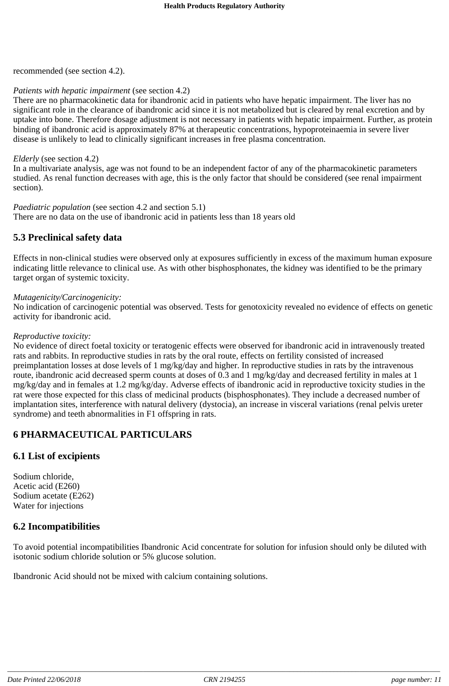recommended (see section 4.2).

### *Patients with hepatic impairment* (see section 4.2)

There are no pharmacokinetic data for ibandronic acid in patients who have hepatic impairment. The liver has no significant role in the clearance of ibandronic acid since it is not metabolized but is cleared by renal excretion and by uptake into bone. Therefore dosage adjustment is not necessary in patients with hepatic impairment. Further, as protein binding of ibandronic acid is approximately 87% at therapeutic concentrations, hypoproteinaemia in severe liver disease is unlikely to lead to clinically significant increases in free plasma concentration.

#### *Elderly* (see section 4.2)

In a multivariate analysis, age was not found to be an independent factor of any of the pharmacokinetic parameters studied. As renal function decreases with age, this is the only factor that should be considered (see renal impairment section).

#### *Paediatric population* (see section 4.2 and section 5.1)

There are no data on the use of ibandronic acid in patients less than 18 years old

### **5.3 Preclinical safety data**

Effects in non-clinical studies were observed only at exposures sufficiently in excess of the maximum human exposure indicating little relevance to clinical use. As with other bisphosphonates, the kidney was identified to be the primary target organ of systemic toxicity.

#### *Mutagenicity/Carcinogenicity:*

No indication of carcinogenic potential was observed. Tests for genotoxicity revealed no evidence of effects on genetic activity for ibandronic acid.

#### *Reproductive toxicity:*

No evidence of direct foetal toxicity or teratogenic effects were observed for ibandronic acid in intravenously treated rats and rabbits. In reproductive studies in rats by the oral route, effects on fertility consisted of increased preimplantation losses at dose levels of 1 mg/kg/day and higher. In reproductive studies in rats by the intravenous route, ibandronic acid decreased sperm counts at doses of 0.3 and 1 mg/kg/day and decreased fertility in males at 1 mg/kg/day and in females at 1.2 mg/kg/day. Adverse effects of ibandronic acid in reproductive toxicity studies in the rat were those expected for this class of medicinal products (bisphosphonates). They include a decreased number of implantation sites, interference with natural delivery (dystocia), an increase in visceral variations (renal pelvis ureter syndrome) and teeth abnormalities in F1 offspring in rats.

# **6 PHARMACEUTICAL PARTICULARS**

## **6.1 List of excipients**

Sodium chloride, Acetic acid (E260) Sodium acetate (E262) Water for injections

### **6.2 Incompatibilities**

To avoid potential incompatibilities Ibandronic Acid concentrate for solution for infusion should only be diluted with isotonic sodium chloride solution or 5% glucose solution.

Ibandronic Acid should not be mixed with calcium containing solutions.